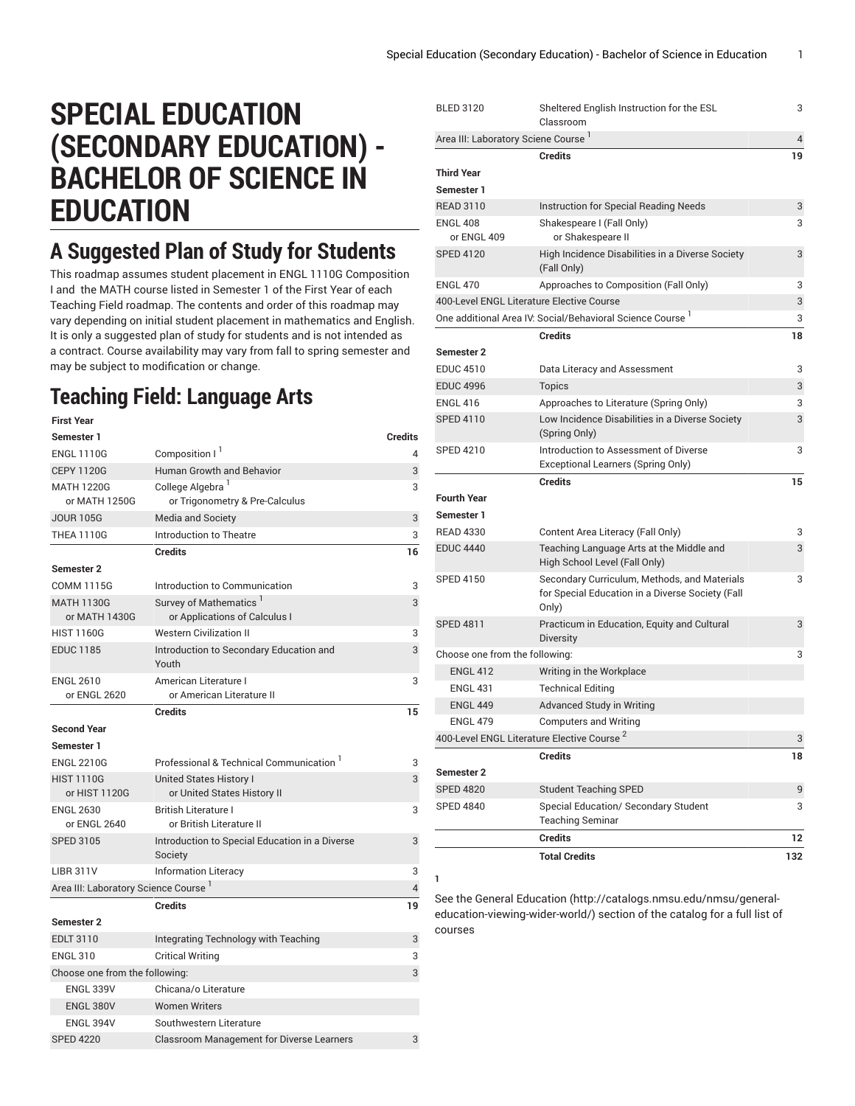# **SPECIAL EDUCATION (SECONDARY EDUCATION) - BACHELOR OF SCIENCE IN EDUCATION**

### **A Suggested Plan of Study for Students**

This roadmap assumes student placement in ENGL 1110G Composition I and the MATH course listed in Semester 1 of the First Year of each Teaching Field roadmap. The contents and order of this roadmap may vary depending on initial student placement in mathematics and English. It is only a suggested plan of study for students and is not intended as a contract. Course availability may vary from fall to spring semester and may be subject to modification or change.

#### **Teaching Field: Language Arts**

| <b>First Year</b>                                |                                                                     |                |
|--------------------------------------------------|---------------------------------------------------------------------|----------------|
| Semester 1                                       |                                                                     | <b>Credits</b> |
| <b>ENGL 1110G</b>                                | Composition I <sup>1</sup>                                          | 4              |
| <b>CEPY 1120G</b>                                | Human Growth and Behavior                                           | 3              |
| <b>MATH 1220G</b><br>or MATH 1250G               | College Algebra <sup>1</sup><br>or Trigonometry & Pre-Calculus      | 3              |
| <b>JOUR 105G</b>                                 | <b>Media and Society</b>                                            | 3              |
| <b>THEA 1110G</b>                                | Introduction to Theatre                                             | 3              |
|                                                  | <b>Credits</b>                                                      | 16             |
| Semester 2                                       |                                                                     |                |
| <b>COMM 1115G</b>                                | Introduction to Communication                                       | 3              |
| <b>MATH 1130G</b><br>or MATH 1430G               | Survey of Mathematics <sup>1</sup><br>or Applications of Calculus I | 3              |
| <b>HIST 1160G</b>                                | <b>Western Civilization II</b>                                      | 3              |
| <b>EDUC 1185</b>                                 | Introduction to Secondary Education and<br>Youth                    | 3              |
| <b>ENGL 2610</b><br>or ENGL 2620                 | American Literature I<br>or American Literature II                  | 3              |
|                                                  | <b>Credits</b>                                                      | 15             |
| <b>Second Year</b>                               |                                                                     |                |
| Semester 1                                       |                                                                     |                |
| <b>ENGL 2210G</b>                                | Professional & Technical Communication <sup>1</sup>                 | 3              |
| <b>HIST 1110G</b><br>or HIST 1120G               | <b>United States History I</b><br>or United States History II       | 3              |
| <b>ENGL 2630</b><br>or ENGL 2640                 | <b>British Literature I</b><br>or British Literature II             | 3              |
| <b>SPED 3105</b>                                 | Introduction to Special Education in a Diverse<br>Society           | 3              |
| <b>LIBR 311V</b>                                 | <b>Information Literacy</b>                                         | 3              |
| Area III: Laboratory Science Course <sup>1</sup> |                                                                     | $\overline{4}$ |
|                                                  | <b>Credits</b>                                                      | 19             |
| <b>Semester 2</b>                                |                                                                     |                |
| <b>EDLT 3110</b>                                 | Integrating Technology with Teaching                                | 3              |
| <b>ENGL 310</b>                                  | <b>Critical Writing</b>                                             | 3              |
| Choose one from the following:                   |                                                                     | 3              |
| <b>ENGL 339V</b>                                 | Chicana/o Literature                                                |                |
| <b>ENGL 380V</b>                                 | <b>Women Writers</b>                                                |                |
| ENGL 394V                                        | Southwestern Literature                                             |                |
| <b>SPED 4220</b>                                 | <b>Classroom Management for Diverse Learners</b>                    | 3              |

| <b>BLED 3120</b>                                | Sheltered English Instruction for the ESL<br>Classroom                                                    | 3              |
|-------------------------------------------------|-----------------------------------------------------------------------------------------------------------|----------------|
| Area III: Laboratory Sciene Course <sup>1</sup> |                                                                                                           | $\overline{4}$ |
|                                                 | <b>Credits</b>                                                                                            | 19             |
| <b>Third Year</b>                               |                                                                                                           |                |
| Semester 1                                      |                                                                                                           |                |
| <b>READ 3110</b>                                | Instruction for Special Reading Needs                                                                     | 3              |
| <b>ENGL 408</b><br>or ENGL 409                  | Shakespeare I (Fall Only)<br>or Shakespeare II                                                            | 3              |
| <b>SPED 4120</b>                                | High Incidence Disabilities in a Diverse Society<br>(Fall Only)                                           | 3              |
| <b>ENGL 470</b>                                 | Approaches to Composition (Fall Only)                                                                     | 3              |
|                                                 | 400-Level ENGL Literature Elective Course                                                                 | 3              |
|                                                 | One additional Area IV: Social/Behavioral Science Course <sup>1</sup>                                     | 3              |
|                                                 | Credits                                                                                                   | 18             |
| Semester 2                                      |                                                                                                           |                |
| <b>EDUC 4510</b>                                | Data Literacy and Assessment                                                                              | 3              |
| <b>EDUC 4996</b>                                | <b>Topics</b>                                                                                             | 3              |
| <b>ENGL 416</b>                                 | Approaches to Literature (Spring Only)                                                                    | 3              |
| <b>SPED 4110</b>                                | Low Incidence Disabilities in a Diverse Society<br>(Spring Only)                                          | 3              |
| <b>SPED 4210</b>                                | Introduction to Assessment of Diverse<br>Exceptional Learners (Spring Only)                               | 3              |
|                                                 | <b>Credits</b>                                                                                            | 15             |
| <b>Fourth Year</b>                              |                                                                                                           |                |
| Semester 1                                      |                                                                                                           |                |
| <b>READ 4330</b>                                | Content Area Literacy (Fall Only)                                                                         | 3              |
| <b>EDUC 4440</b>                                | Teaching Language Arts at the Middle and<br>High School Level (Fall Only)                                 | 3              |
| <b>SPED 4150</b>                                | Secondary Curriculum, Methods, and Materials<br>for Special Education in a Diverse Society (Fall<br>Only) | 3              |
| <b>SPED 4811</b>                                | Practicum in Education, Equity and Cultural<br><b>Diversity</b>                                           | 3              |
| Choose one from the following:                  |                                                                                                           | 3              |
| <b>ENGL 412</b>                                 | Writing in the Workplace                                                                                  |                |
| <b>ENGL 431</b>                                 | <b>Technical Editing</b>                                                                                  |                |
| <b>ENGL 449</b>                                 | <b>Advanced Study in Writing</b>                                                                          |                |
| <b>ENGL 479</b>                                 | <b>Computers and Writing</b>                                                                              |                |
|                                                 | 400-Level ENGL Literature Elective Course                                                                 | 3              |
|                                                 | <b>Credits</b>                                                                                            | 18             |
| Semester 2                                      |                                                                                                           |                |
| <b>SPED 4820</b>                                |                                                                                                           | 9              |
|                                                 | <b>Student Teaching SPED</b>                                                                              |                |
| <b>SPED 4840</b>                                | Special Education/ Secondary Student<br><b>Teaching Seminar</b>                                           | 3              |
|                                                 | <b>Credits</b>                                                                                            | 12             |

See the General [Education](http://catalogs.nmsu.edu/nmsu/general-education-viewing-wider-world/) ([http://catalogs.nmsu.edu/nmsu/general](http://catalogs.nmsu.edu/nmsu/general-education-viewing-wider-world/)[education-viewing-wider-world/\)](http://catalogs.nmsu.edu/nmsu/general-education-viewing-wider-world/) section of the catalog for a full list of courses

**1**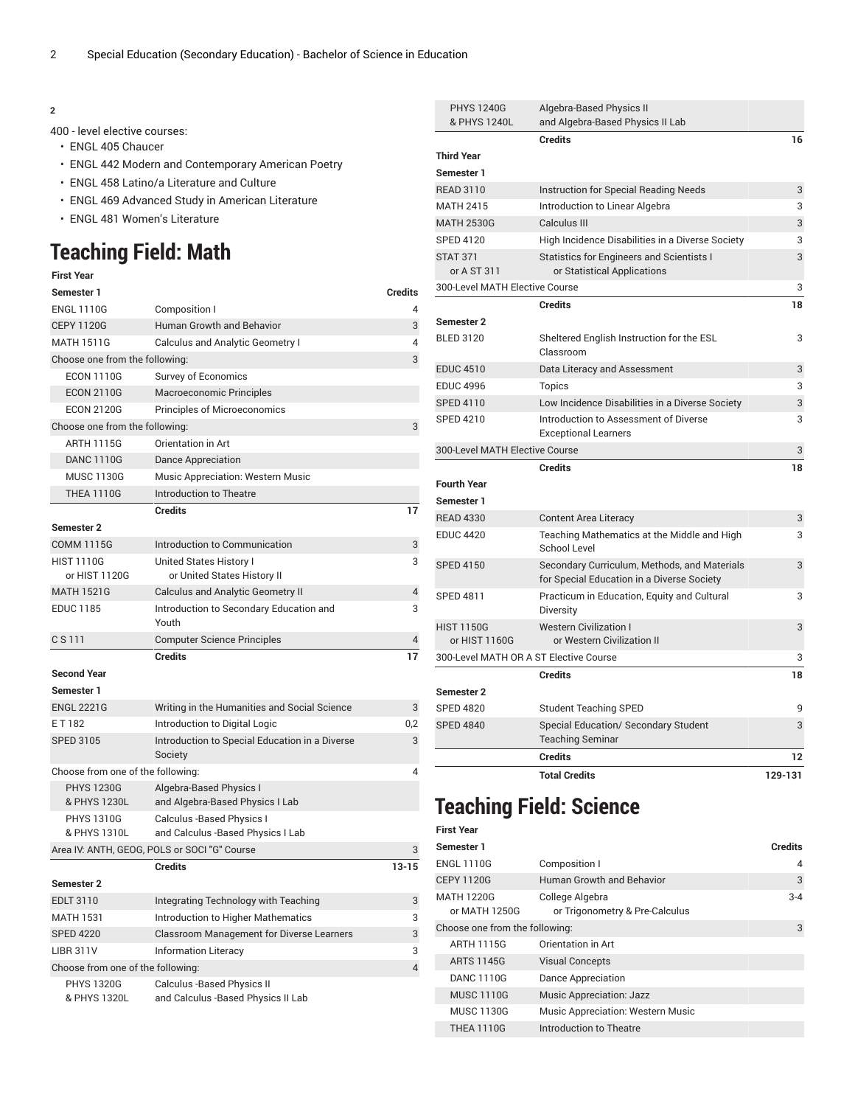#### **2**

400 - level elective courses:

- ENGL 405 Chaucer
- ENGL 442 Modern and Contemporary American Poetry
- ENGL 458 Latino/a Literature and Culture
- ENGL 469 Advanced Study in American Literature
- ENGL 481 Women's Literature

#### **Teaching Field: Math**

#### **First Year**

| Semester 1                         |                                                                  | <b>Credits</b> |
|------------------------------------|------------------------------------------------------------------|----------------|
| <b>ENGL 1110G</b>                  | Composition I                                                    | 4              |
| <b>CEPY 1120G</b>                  | Human Growth and Behavior                                        | 3              |
| <b>MATH 1511G</b>                  | Calculus and Analytic Geometry I                                 | 4              |
| Choose one from the following:     |                                                                  | 3              |
| <b>ECON 1110G</b>                  | <b>Survey of Economics</b>                                       |                |
| <b>ECON 2110G</b>                  | Macroeconomic Principles                                         |                |
| <b>ECON 2120G</b>                  | Principles of Microeconomics                                     |                |
| Choose one from the following:     |                                                                  | 3              |
| <b>ARTH 1115G</b>                  | Orientation in Art                                               |                |
| <b>DANC 1110G</b>                  | Dance Appreciation                                               |                |
| <b>MUSC 1130G</b>                  | <b>Music Appreciation: Western Music</b>                         |                |
| <b>THEA 1110G</b>                  | Introduction to Theatre                                          |                |
|                                    | <b>Credits</b>                                                   | 17             |
| <b>Semester 2</b>                  |                                                                  |                |
| <b>COMM 1115G</b>                  | Introduction to Communication                                    | 3              |
| <b>HIST 1110G</b><br>or HIST 1120G | United States History I<br>or United States History II           | 3              |
| <b>MATH 1521G</b>                  | <b>Calculus and Analytic Geometry II</b>                         | 4              |
| <b>EDUC 1185</b>                   | Introduction to Secondary Education and<br>Youth                 | 3              |
| C S 111                            | <b>Computer Science Principles</b>                               | 4              |
|                                    | <b>Credits</b>                                                   | 17             |
| <b>Second Year</b>                 |                                                                  |                |
| Semester 1                         |                                                                  |                |
| <b>ENGL 2221G</b>                  | Writing in the Humanities and Social Science                     | 3              |
| ET182                              | Introduction to Digital Logic                                    | 0,2            |
| <b>SPED 3105</b>                   | Introduction to Special Education in a Diverse<br>Society        | 3              |
| Choose from one of the following:  |                                                                  | 4              |
| <b>PHYS 1230G</b>                  | Algebra-Based Physics I                                          |                |
| & PHYS 1230L                       | and Algebra-Based Physics I Lab                                  |                |
| <b>PHYS 1310G</b>                  | Calculus -Based Physics I                                        |                |
| & PHYS 1310L                       | and Calculus -Based Physics I Lab                                |                |
|                                    | Area IV: ANTH, GEOG, POLS or SOCI "G" Course                     | 3              |
| <b>Semester 2</b>                  | Credits                                                          | 13-15          |
| <b>EDLT 3110</b>                   | Integrating Technology with Teaching                             | 3              |
| <b>MATH 1531</b>                   | <b>Introduction to Higher Mathematics</b>                        | 3              |
| <b>SPED 4220</b>                   | <b>Classroom Management for Diverse Learners</b>                 | 3              |
| <b>LIBR 311V</b>                   | <b>Information Literacy</b>                                      | 3              |
| Choose from one of the following:  |                                                                  | $\overline{4}$ |
| <b>PHYS 1320G</b><br>& PHYS 1320L  | Calculus -Based Physics II<br>and Calculus -Based Physics II Lab |                |

| <b>PHYS 1240G</b><br>& PHYS 1240L      | Algebra-Based Physics II<br>and Algebra-Based Physics II Lab                               |         |
|----------------------------------------|--------------------------------------------------------------------------------------------|---------|
|                                        | <b>Credits</b>                                                                             | 16      |
| <b>Third Year</b>                      |                                                                                            |         |
| Semester 1                             |                                                                                            |         |
| <b>READ 3110</b>                       | <b>Instruction for Special Reading Needs</b>                                               | 3       |
| <b>MATH 2415</b>                       | Introduction to Linear Algebra                                                             | 3       |
| <b>MATH 2530G</b>                      | Calculus III                                                                               | 3       |
| <b>SPED 4120</b>                       | High Incidence Disabilities in a Diverse Society                                           | 3       |
| <b>STAT 371</b>                        | <b>Statistics for Engineers and Scientists I</b>                                           | 3       |
| or A ST 311                            | or Statistical Applications                                                                |         |
| 300-Level MATH Elective Course         |                                                                                            | 3       |
|                                        | <b>Credits</b>                                                                             | 18      |
| Semester 2                             |                                                                                            |         |
| <b>BLED 3120</b>                       | Sheltered English Instruction for the ESL<br>Classroom                                     | 3       |
| <b>EDUC 4510</b>                       | Data Literacy and Assessment                                                               | 3       |
| <b>EDUC 4996</b>                       | <b>Topics</b>                                                                              | 3       |
| <b>SPED 4110</b>                       | Low Incidence Disabilities in a Diverse Society                                            | 3       |
| <b>SPED 4210</b>                       | Introduction to Assessment of Diverse<br><b>Exceptional Learners</b>                       | 3       |
| 300-Level MATH Elective Course         |                                                                                            | 3       |
|                                        | <b>Credits</b>                                                                             | 18      |
| <b>Fourth Year</b>                     |                                                                                            |         |
| Semester 1                             |                                                                                            |         |
| <b>READ 4330</b>                       | <b>Content Area Literacy</b>                                                               | 3       |
| <b>EDUC 4420</b>                       | Teaching Mathematics at the Middle and High<br><b>School Level</b>                         | 3       |
| <b>SPED 4150</b>                       | Secondary Curriculum, Methods, and Materials<br>for Special Education in a Diverse Society | 3       |
| <b>SPED 4811</b>                       | Practicum in Education, Equity and Cultural<br>Diversity                                   | 3       |
| <b>HIST 1150G</b>                      | <b>Western Civilization I</b>                                                              | 3       |
| or HIST 1160G                          | or Western Civilization II                                                                 |         |
| 300-Level MATH OR A ST Elective Course |                                                                                            | 3       |
|                                        | <b>Credits</b>                                                                             | 18      |
| Semester 2                             |                                                                                            |         |
| <b>SPED 4820</b>                       | <b>Student Teaching SPED</b>                                                               | 9       |
| <b>SPED 4840</b>                       | <b>Special Education/ Secondary Student</b><br><b>Teaching Seminar</b>                     | 3       |
|                                        | <b>Credits</b>                                                                             | 12      |
|                                        | <b>Total Credits</b>                                                                       | 129-131 |

#### **Teaching Field: Science**

| <b>First Year</b>                  |                                                   |         |
|------------------------------------|---------------------------------------------------|---------|
| Semester 1                         |                                                   | Credits |
| <b>ENGL 1110G</b>                  | Composition I                                     | 4       |
| <b>CEPY 1120G</b>                  | Human Growth and Behavior                         | 3       |
| <b>MATH 1220G</b><br>or MATH 1250G | College Algebra<br>or Trigonometry & Pre-Calculus | $3 - 4$ |
| Choose one from the following:     |                                                   | 3       |
| <b>ARTH 1115G</b>                  | Orientation in Art                                |         |
| <b>ARTS 1145G</b>                  | <b>Visual Concepts</b>                            |         |
| <b>DANC 1110G</b>                  | Dance Appreciation                                |         |
| <b>MUSC 1110G</b>                  | <b>Music Appreciation: Jazz</b>                   |         |
| <b>MUSC 1130G</b>                  | Music Appreciation: Western Music                 |         |
| <b>THEA 1110G</b>                  | Introduction to Theatre                           |         |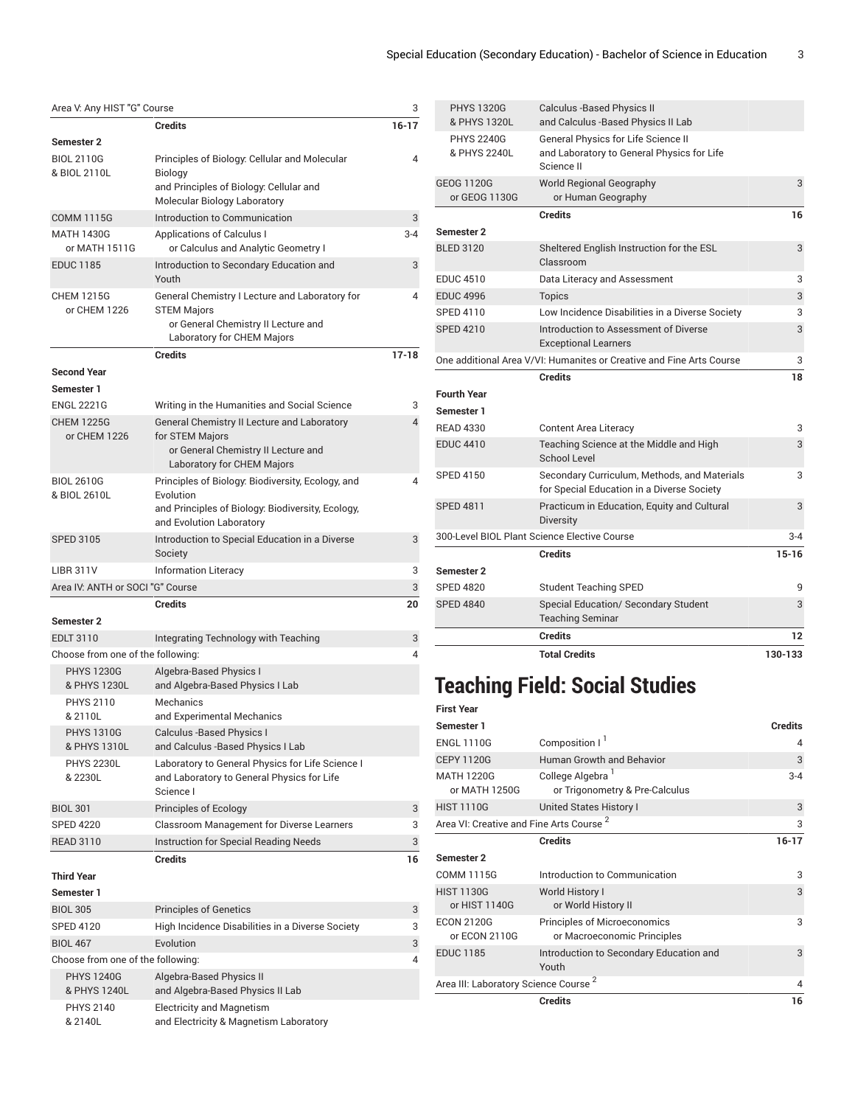|                                   |                                                                                                             | Area V: Any HIST "G" Course<br>3 |  |  |  |
|-----------------------------------|-------------------------------------------------------------------------------------------------------------|----------------------------------|--|--|--|
|                                   | Credits                                                                                                     | $16-17$                          |  |  |  |
| <b>Semester 2</b>                 |                                                                                                             |                                  |  |  |  |
| <b>BIOL 2110G</b><br>& BIOL 2110L | Principles of Biology: Cellular and Molecular<br>Biology                                                    | 4                                |  |  |  |
|                                   | and Principles of Biology: Cellular and<br>Molecular Biology Laboratory                                     |                                  |  |  |  |
| <b>COMM 1115G</b>                 | Introduction to Communication                                                                               | 3                                |  |  |  |
| MATH 1430G                        | Applications of Calculus I                                                                                  | $3 - 4$                          |  |  |  |
| or MATH 1511G                     | or Calculus and Analytic Geometry I                                                                         |                                  |  |  |  |
| <b>EDUC 1185</b>                  | Introduction to Secondary Education and<br>Youth                                                            | 3                                |  |  |  |
| <b>CHEM 1215G</b><br>or CHEM 1226 | General Chemistry I Lecture and Laboratory for<br><b>STEM Majors</b><br>or General Chemistry II Lecture and | 4                                |  |  |  |
|                                   | Laboratory for CHEM Majors                                                                                  |                                  |  |  |  |
|                                   | <b>Credits</b>                                                                                              | $17-18$                          |  |  |  |
| <b>Second Year</b>                |                                                                                                             |                                  |  |  |  |
| Semester 1                        |                                                                                                             |                                  |  |  |  |
| <b>ENGL 2221G</b>                 | Writing in the Humanities and Social Science                                                                | 3                                |  |  |  |
| <b>CHEM 1225G</b>                 | General Chemistry II Lecture and Laboratory                                                                 | 4                                |  |  |  |
| or CHEM 1226                      | for STEM Majors<br>or General Chemistry II Lecture and                                                      |                                  |  |  |  |
|                                   | Laboratory for CHEM Majors                                                                                  |                                  |  |  |  |
| <b>BIOL 2610G</b>                 | Principles of Biology: Biodiversity, Ecology, and                                                           | 4                                |  |  |  |
| & BIOL 2610L                      | Evolution                                                                                                   |                                  |  |  |  |
|                                   | and Principles of Biology: Biodiversity, Ecology,                                                           |                                  |  |  |  |
|                                   | and Evolution Laboratory                                                                                    |                                  |  |  |  |
| <b>SPED 3105</b>                  | Introduction to Special Education in a Diverse<br>Society                                                   | 3                                |  |  |  |
|                                   |                                                                                                             |                                  |  |  |  |
| <b>LIBR 311V</b>                  | <b>Information Literacy</b>                                                                                 | 3                                |  |  |  |
| Area IV: ANTH or SOCI "G" Course  |                                                                                                             | 3                                |  |  |  |
|                                   | <b>Credits</b>                                                                                              | 20                               |  |  |  |
| <b>Semester 2</b>                 |                                                                                                             |                                  |  |  |  |
| <b>EDLT 3110</b>                  | Integrating Technology with Teaching                                                                        | 3                                |  |  |  |
| Choose from one of the following: |                                                                                                             | 4                                |  |  |  |
| <b>PHYS 1230G</b><br>& PHYS 1230L | Algebra-Based Physics I<br>and Algebra-Based Physics I Lab                                                  |                                  |  |  |  |
| <b>PHYS 2110</b>                  | Mechanics                                                                                                   |                                  |  |  |  |
| & 2110L                           | and Experimental Mechanics                                                                                  |                                  |  |  |  |
| <b>PHYS 1310G</b><br>& PHYS 1310L | Calculus - Based Physics I<br>and Calculus -Based Physics I Lab                                             |                                  |  |  |  |
| <b>PHYS 2230L</b>                 | Laboratory to General Physics for Life Science I                                                            |                                  |  |  |  |
| & 2230L                           | and Laboratory to General Physics for Life<br>Science I                                                     |                                  |  |  |  |
| <b>BIOL 301</b>                   | Principles of Ecology                                                                                       | 3                                |  |  |  |
| <b>SPED 4220</b>                  | Classroom Management for Diverse Learners                                                                   | 3                                |  |  |  |
| <b>READ 3110</b>                  | <b>Instruction for Special Reading Needs</b>                                                                | 3                                |  |  |  |
|                                   | <b>Credits</b>                                                                                              | 16                               |  |  |  |
| <b>Third Year</b>                 |                                                                                                             |                                  |  |  |  |
| Semester 1                        |                                                                                                             |                                  |  |  |  |
| <b>BIOL 305</b>                   | <b>Principles of Genetics</b>                                                                               | 3                                |  |  |  |
| <b>SPED 4120</b>                  | High Incidence Disabilities in a Diverse Society                                                            | 3                                |  |  |  |
| <b>BIOL 467</b>                   | Evolution                                                                                                   | 3                                |  |  |  |
| Choose from one of the following: |                                                                                                             | 4                                |  |  |  |
| <b>PHYS 1240G</b><br>& PHYS 1240L | Algebra-Based Physics II<br>and Algebra-Based Physics II Lab                                                |                                  |  |  |  |
| PHYS 2140<br>& 2140L              | <b>Electricity and Magnetism</b><br>and Electricity & Magnetism Laboratory                                  |                                  |  |  |  |

|                                                 | <b>Total Credits</b>                                                                                                                      | 130-133   |
|-------------------------------------------------|-------------------------------------------------------------------------------------------------------------------------------------------|-----------|
|                                                 | <b>Credits</b>                                                                                                                            | 12        |
|                                                 | <b>Teaching Seminar</b>                                                                                                                   |           |
| <b>SPED 4840</b>                                | Special Education/ Secondary Student                                                                                                      | 3         |
| Semester 2<br><b>SPED 4820</b>                  | <b>Student Teaching SPED</b>                                                                                                              | 9         |
|                                                 | <b>Credits</b>                                                                                                                            | $15 - 16$ |
|                                                 | 300-Level BIOL Plant Science Elective Course                                                                                              | $3 - 4$   |
| <b>SPED 4811</b>                                | Practicum in Education, Equity and Cultural<br><b>Diversity</b>                                                                           | 3         |
| <b>SPED 4150</b>                                | Secondary Curriculum, Methods, and Materials<br>for Special Education in a Diverse Society                                                | 3         |
| <b>EDUC 4410</b>                                | Teaching Science at the Middle and High<br>School Level                                                                                   | 3         |
| <b>READ 4330</b>                                | <b>Content Area Literacy</b>                                                                                                              | 3         |
| Semester 1                                      |                                                                                                                                           |           |
| <b>Fourth Year</b>                              |                                                                                                                                           |           |
|                                                 | <b>Credits</b>                                                                                                                            | 18        |
|                                                 | One additional Area V/VI: Humanites or Creative and Fine Arts Course                                                                      | 3         |
| <b>SPED 4210</b>                                | Introduction to Assessment of Diverse<br><b>Exceptional Learners</b>                                                                      | 3         |
| <b>SPED 4110</b>                                | Low Incidence Disabilities in a Diverse Society                                                                                           | 3         |
| <b>EDUC 4996</b>                                | <b>Topics</b>                                                                                                                             | 3         |
| <b>EDUC 4510</b>                                | Data Literacy and Assessment                                                                                                              | 3         |
| <b>BLED 3120</b>                                | Sheltered English Instruction for the ESL<br>Classroom                                                                                    | 3         |
| Semester 2                                      | <b>Credits</b>                                                                                                                            | 16        |
| or GEOG 1130G                                   | or Human Geography                                                                                                                        |           |
| <b>PHYS 2240G</b><br>& PHYS 2240L<br>GEOG 1120G | <b>General Physics for Life Science II</b><br>and Laboratory to General Physics for Life<br>Science II<br><b>World Regional Geography</b> | 3         |
| <b>PHYS 1320G</b><br>& PHYS 1320L               | <b>Calculus -Based Physics II</b><br>and Calculus - Based Physics II Lab                                                                  |           |

## **Teaching Field: Social Studies**

| <b>First Year</b>                                   |                                                                    |                |
|-----------------------------------------------------|--------------------------------------------------------------------|----------------|
| Semester 1                                          |                                                                    | <b>Credits</b> |
| <b>FNGI 1110G</b>                                   | Composition I <sup>1</sup>                                         | 4              |
| <b>CEPY 1120G</b>                                   | Human Growth and Behavior                                          | 3              |
| <b>MATH 1220G</b><br>or MATH 1250G                  | College Algebra<br>or Trigonometry & Pre-Calculus                  | $3 - 4$        |
| <b>HIST 1110G</b>                                   | United States History I                                            | 3              |
| Area VI: Creative and Fine Arts Course <sup>2</sup> |                                                                    | 3              |
|                                                     | <b>Credits</b>                                                     | $16 - 17$      |
| Semester 2                                          |                                                                    |                |
| <b>COMM 1115G</b>                                   | Introduction to Communication                                      | 3              |
| <b>HIST 1130G</b><br>or HIST 1140G                  | World History I<br>or World History II                             | 3              |
| <b>ECON 2120G</b><br>or ECON 2110G                  | <b>Principles of Microeconomics</b><br>or Macroeconomic Principles | 3              |
| <b>EDUC 1185</b>                                    | Introduction to Secondary Education and<br>Youth                   | 3              |
| Area III: Laboratory Science Course                 |                                                                    | $\overline{4}$ |
|                                                     | <b>Credits</b>                                                     | 16             |